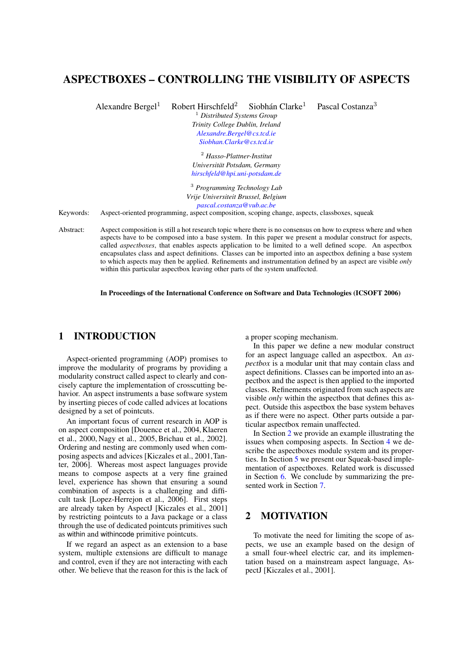# ASPECTBOXES – CONTROLLING THE VISIBILITY OF ASPECTS

Alexandre Bergel<sup>1</sup> Robert Hirschfeld<sup>2</sup> Siobhán Clarke<sup>1</sup>

Pascal Costanza<sup>3</sup>

<sup>1</sup> *Distributed Systems Group Trinity College Dublin, Ireland [Alexandre.Bergel@cs.tcd.ie](file:Alexandre.Bergel@cs.tcd.ie) [Siobhan.Clarke@cs.tcd.ie](file:Siobhan.Clarke@cs.tcd.ie)*

<sup>2</sup> *Hasso-Plattner-Institut Universitat Potsdam, Germany ¨ [hirschfeld@hpi.uni-potsdam.de](file:hirschfeld@hpi.uni-potsdam.de)*

<sup>3</sup> *Programming Technology Lab Vrije Universiteit Brussel, Belgium [pascal.costanza@vub.ac.be](file:pascal.costanza@vub.ac.be)*

Keywords: Aspect-oriented programming, aspect composition, scoping change, aspects, classboxes, squeak

Abstract: Aspect composition is still a hot research topic where there is no consensus on how to express where and when aspects have to be composed into a base system. In this paper we present a modular construct for aspects, called *aspectboxes*, that enables aspects application to be limited to a well defined scope. An aspectbox encapsulates class and aspect definitions. Classes can be imported into an aspectbox defining a base system to which aspects may then be applied. Refinements and instrumentation defined by an aspect are visible *only* within this particular aspectbox leaving other parts of the system unaffected.

In Proceedings of the International Conference on Software and Data Technologies (ICSOFT 2006)

# 1 INTRODUCTION

Aspect-oriented programming (AOP) promises to improve the modularity of programs by providing a modularity construct called aspect to clearly and concisely capture the implementation of crosscutting behavior. An aspect instruments a base software system by inserting pieces of code called advices at locations designed by a set of pointcuts.

An important focus of current research in AOP is on aspect composition [Douence et al., 2004, Klaeren et al., 2000, Nagy et al., 2005, Brichau et al., 2002]. Ordering and nesting are commonly used when composing aspects and advices [Kiczales et al., 2001,Tanter, 2006]. Whereas most aspect languages provide means to compose aspects at a very fine grained level, experience has shown that ensuring a sound combination of aspects is a challenging and difficult task [Lopez-Herrejon et al., 2006]. First steps are already taken by AspectJ [Kiczales et al., 2001] by restricting pointcuts to a Java package or a class through the use of dedicated pointcuts primitives such as within and withincode primitive pointcuts.

If we regard an aspect as an extension to a base system, multiple extensions are difficult to manage and control, even if they are not interacting with each other. We believe that the reason for this is the lack of a proper scoping mechanism.

In this paper we define a new modular construct for an aspect language called an aspectbox. An *aspectbox* is a modular unit that may contain class and aspect definitions. Classes can be imported into an aspectbox and the aspect is then applied to the imported classes. Refinements originated from such aspects are visible *only* within the aspectbox that defines this aspect. Outside this aspectbox the base system behaves as if there were no aspect. Other parts outside a particular aspectbox remain unaffected.

In Section [2](#page-0-0) we provide an example illustrating the issues when composing aspects. In Section [4](#page-2-0) we describe the aspectboxes module system and its properties. In Section [5](#page-4-0) we present our Squeak-based implementation of aspectboxes. Related work is discussed in Section [6.](#page-4-1) We conclude by summarizing the presented work in Section [7.](#page-5-0)

#### <span id="page-0-0"></span>2 MOTIVATION

To motivate the need for limiting the scope of aspects, we use an example based on the design of a small four-wheel electric car, and its implementation based on a mainstream aspect language, AspectJ [Kiczales et al., 2001].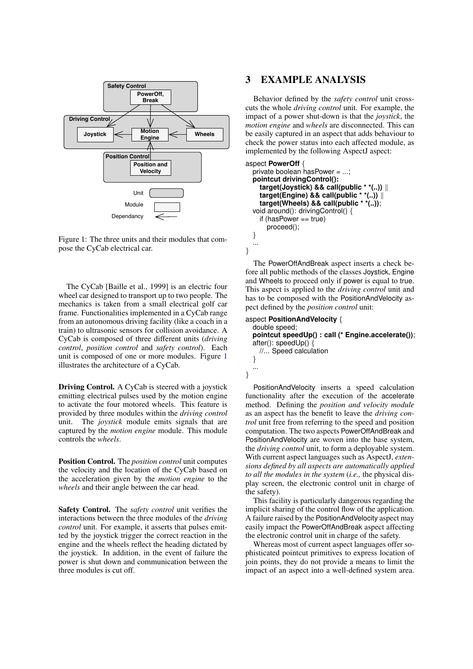

<span id="page-1-0"></span>Figure 1: The three units and their modules that compose the CyCab electrical car.

The CyCab [Baille et al., 1999] is an electric four wheel car designed to transport up to two people. The mechanics is taken from a small electrical golf car frame. Functionalities implemented in a CyCab range from an autonomous driving facility (like a coach in a train) to ultrasonic sensors for collision avoidance. A CyCab is composed of three different units (*driving control*, *position control* and *safety control*). Each unit is composed of one or more modules. Figure [1](#page-1-0) illustrates the architecture of a CyCab.

Driving Control. A CyCab is steered with a joystick emitting electrical pulses used by the motion engine to activate the four motored wheels. This feature is provided by three modules within the *driving control* unit. The *joystick* module emits signals that are captured by the *motion engine* module. This module controls the *wheels*.

Position Control. The *position control* unit computes the velocity and the location of the CyCab based on the acceleration given by the *motion engine* to the *wheels* and their angle between the car head.

Safety Control. The *safety control* unit verifies the interactions between the three modules of the *driving control* unit. For example, it asserts that pulses emitted by the joystick trigger the correct reaction in the engine and the wheels reflect the heading dictated by the joystick. In addition, in the event of failure the power is shut down and communication between the three modules is cut off.

# 3 EXAMPLE ANALYSIS

Behavior defined by the *safety control* unit crosscuts the whole *driving control* unit. For example, the impact of a power shut-down is that the *joystick*, the *motion engine* and *wheels* are disconnected. This can be easily captured in an aspect that adds behaviour to check the power status into each affected module, as implemented by the following AspectJ aspect:

```
aspect PowerOff {
  private boolean hasPower = ...;
  pointcut drivingControl():
    target(Joystick) && call(public * *(..)) k
    target(Engine) && call(public * *(..)) k
    target(Wheels) && call(public * *(..));
  void around(): drivingControl() {
    if (hasPower == true)
       proceed();
  }
  ...
}
```
The PowerOffAndBreak aspect inserts a check before all public methods of the classes Joystick, Engine and Wheels to proceed only if power is equal to true. This aspect is applied to the *driving control* unit and has to be composed with the PositionAndVelocity aspect defined by the *position control* unit:

```
aspect PositionAndVelocity {
  double speed;
  pointcut speedUp() : call (* Engine.accelerate());
  after(): speedUp() {
    //... Speed calculation
  }
  ...
```
}

PositionAndVelocity inserts a speed calculation functionality after the execution of the accelerate method. Defining the *position and velocity module* as an aspect has the benefit to leave the *driving control* unit free from referring to the speed and position computation. The two aspects PowerOffAndBreak and PositionAndVelocity are woven into the base system, the *driving control* unit, to form a deployable system. With current aspect languages such as AspectJ, *extensions defined by all aspects are automatically applied to all the modules in the system* (*i.e.,* the physical display screen, the electronic control unit in charge of the safety).

This facility is particularly dangerous regarding the implicit sharing of the control flow of the application. A failure raised by the PositionAndVelocity aspect may easily impact the PowerOffAndBreak aspect affecting the electronic control unit in charge of the safety.

Whereas most of current aspect languages offer sophisticated pointcut primitives to express location of join points, they do not provide a means to limit the impact of an aspect into a well-defined system area.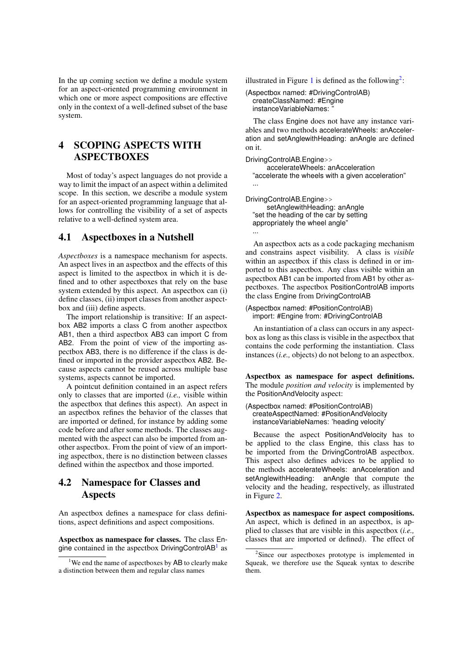In the up coming section we define a module system for an aspect-oriented programming environment in which one or more aspect compositions are effective only in the context of a well-defined subset of the base system.

# <span id="page-2-0"></span>4 SCOPING ASPECTS WITH **ASPECTBOXES**

Most of today's aspect languages do not provide a way to limit the impact of an aspect within a delimited scope. In this section, we describe a module system for an aspect-oriented programming language that allows for controlling the visibility of a set of aspects relative to a well-defined system area.

#### 4.1 Aspectboxes in a Nutshell

*Aspectboxes* is a namespace mechanism for aspects. An aspect lives in an aspectbox and the effects of this aspect is limited to the aspectbox in which it is defined and to other aspectboxes that rely on the base system extended by this aspect. An aspectbox can (i) define classes, (ii) import classes from another aspectbox and (iii) define aspects.

The import relationship is transitive: If an aspectbox AB2 imports a class C from another aspectbox AB1, then a third aspectbox AB3 can import C from AB2. From the point of view of the importing aspectbox AB3, there is no difference if the class is defined or imported in the provider aspectbox AB2. Because aspects cannot be reused across multiple base systems, aspects cannot be imported.

A pointcut definition contained in an aspect refers only to classes that are imported (*i.e.,* visible within the aspectbox that defines this aspect). An aspect in an aspectbox refines the behavior of the classes that are imported or defined, for instance by adding some code before and after some methods. The classes augmented with the aspect can also be imported from another aspectbox. From the point of view of an importing aspectbox, there is no distinction between classes defined within the aspectbox and those imported.

# 4.2 Namespace for Classes and Aspects

An aspectbox defines a namespace for class definitions, aspect definitions and aspect compositions.

Aspectbox as namespace for classes. The class En-gine contained in the aspectbox DrivingControlAB<sup>[1](#page-2-1)</sup> as

<span id="page-2-1"></span><sup>1</sup>We end the name of aspectboxes by AB to clearly make a distinction between them and regular class names

illustrated in Figure [1](#page-1-0) is defined as the following<sup>[2](#page-2-2)</sup>:

(Aspectbox named: #DrivingControlAB) createClassNamed: #Engine instanceVariableNames:

The class Engine does not have any instance variables and two methods accelerateWheels: anAcceleration and setAnglewithHeading: anAngle are defined on it.

DrivingControlAB.Engine>>

accelerateWheels: anAcceleration "accelerate the wheels with a given acceleration" ...

DrivingControlAB.Engine>>

setAnglewithHeading: anAngle "set the heading of the car by setting appropriately the wheel angle" ...

An aspectbox acts as a code packaging mechanism and constrains aspect visibility. A class is *visible* within an aspectbox if this class is defined in or imported to this aspectbox. Any class visible within an aspectbox AB1 can be imported from AB1 by other aspectboxes. The aspectbox PositionControlAB imports the class Engine from DrivingControlAB

(Aspectbox named: #PositionControlAB) import: #Engine from: #DrivingControlAB

An instantiation of a class can occurs in any aspectbox as long as this class is visible in the aspectbox that contains the code performing the instantiation. Class instances (*i.e.,* objects) do not belong to an aspectbox.

Aspectbox as namespace for aspect definitions. The module *position and velocity* is implemented by the PositionAndVelocity aspect:

(Aspectbox named: #PositionControlAB) createAspectNamed: #PositionAndVelocity instance VariableNames: 'heading velocity'

Because the aspect PositionAndVelocity has to be applied to the class Engine, this class has to be imported from the DrivingControlAB aspectbox. This aspect also defines advices to be applied to the methods accelerateWheels: anAcceleration and setAnglewithHeading: anAngle that compute the velocity and the heading, respectively, as illustrated in Figure [2.](#page-3-0)

Aspectbox as namespace for aspect compositions. An aspect, which is defined in an aspectbox, is applied to classes that are visible in this aspectbox (*i.e.,* classes that are imported or defined). The effect of

<span id="page-2-2"></span><sup>&</sup>lt;sup>2</sup>Since our aspectboxes prototype is implemented in Squeak, we therefore use the Squeak syntax to describe them.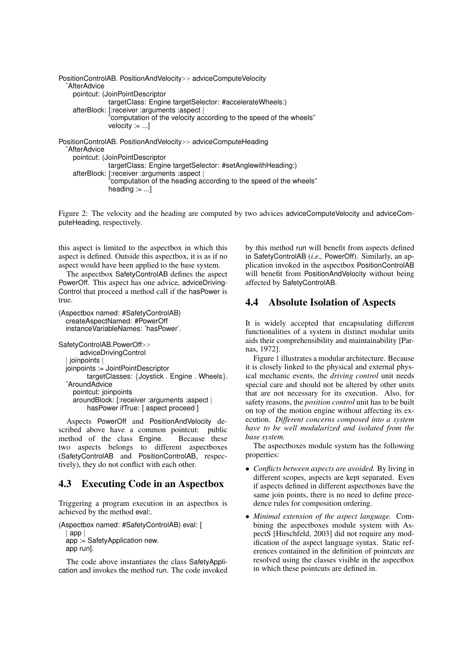```
PositionControlAB. PositionAndVelocity>> adviceComputeVelocity
  ˆAfterAdvice
    pointcut: (JoinPointDescriptor
               targetClass: Engine targetSelector: #accelerateWheels:)
    afterBlock: [:receiver :arguments :aspect |
                "computation of the velocity according to the speed of the wheels"
               velocity := ...]
PositionControlAB. PositionAndVelocity>> adviceComputeHeading
  ˆAfterAdvice
    pointcut: (JoinPointDescriptor
               targetClass: Engine targetSelector: #setAnglewithHeading:)
    afterBlock: [:receiver :arguments :aspect |
                "computation of the heading according to the speed of the wheels"
               heading := \ldots]
```
<span id="page-3-0"></span>Figure 2: The velocity and the heading are computed by two advices adviceComputeVelocity and adviceComputeHeading, respectively.

this aspect is limited to the aspectbox in which this aspect is defined. Outside this aspectbox, it is as if no aspect would have been applied to the base system.

The aspectbox SafetyControlAB defines the aspect PowerOff. This aspect has one advice, adviceDriving-Control that proceed a method call if the hasPower is true.

```
(Aspectbox named: #SafetyControlAB)
 createAspectNamed: #PowerOff
 instanceVariableNames: 'hasPower'.
```
SafetyControlAB.PowerOff>> adviceDrivingControl | joinpoints | joinpoints := JointPointDescriptor targetClasses: {Joystick . Engine . Wheels}. ˆAroundAdvice pointcut: joinpoints aroundBlock: [:receiver :arguments :aspect | hasPower ifTrue: [ aspect proceed ]

Aspects PowerOff and PositionAndVelocity described above have a common pointcut: public method of the class Engine. Because these two aspects belongs to different aspectboxes (SafetyControlAB and PositionControlAB, respectively), they do not conflict with each other.

# 4.3 Executing Code in an Aspectbox

Triggering a program execution in an aspectbox is achieved by the method eval:.

(Aspectbox named: #SafetyControlAB) eval: [ | app | app := SafetyApplication new. app run].

The code above instantiates the class SafetyApplication and invokes the method run. The code invoked by this method run will benefit from aspects defined in SafetyControlAB (*i.e.,* PowerOff). Similarly, an application invoked in the aspectbox PositionControlAB will benefit from PositionAndVelocity without being affected by SafetyControlAB.

#### 4.4 Absolute Isolation of Aspects

It is widely accepted that encapsulating different functionalities of a system in distinct modular units aids their comprehensibility and maintainability [Parnas, 1972].

Figure [1](#page-1-0) illustrates a modular architecture. Because it is closely linked to the physical and external physical mechanic events, the *driving control* unit needs special care and should not be altered by other units that are not necessary for its execution. Also, for safety reasons, the *position control* unit has to be built on top of the motion engine without affecting its execution. *Different concerns composed into a system have to be well modularized and isolated from the base system.*

The aspectboxes module system has the following properties:

- *Conflicts between aspects are avoided.* By living in different scopes, aspects are kept separated. Even if aspects defined in different aspectboxes have the same join points, there is no need to define precedence rules for composition ordering.
- *Minimal extension of the aspect language.* Combining the aspectboxes module system with AspectS [Hirschfeld, 2003] did not require any modification of the aspect language syntax. Static references contained in the definition of pointcuts are resolved using the classes visible in the aspectbox in which these pointcuts are defined in.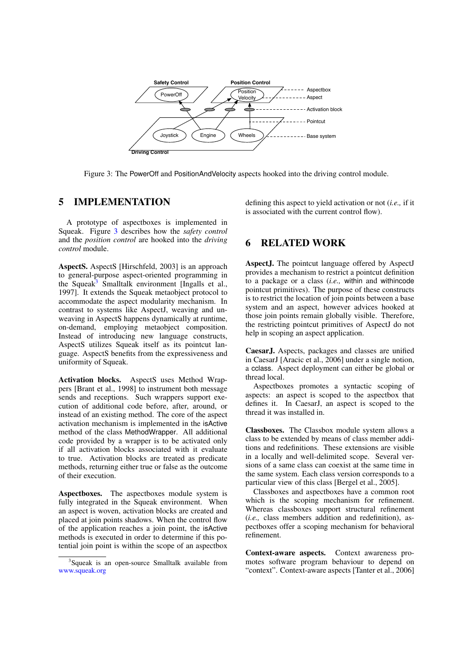

<span id="page-4-2"></span>Figure 3: The PowerOff and PositionAndVelocity aspects hooked into the driving control module.

# <span id="page-4-0"></span>5 IMPLEMENTATION

A prototype of aspectboxes is implemented in Squeak. Figure [3](#page-4-2) describes how the *safety control* and the *position control* are hooked into the *driving control* module.

AspectS. AspectS [Hirschfeld, 2003] is an approach to general-purpose aspect-oriented programming in the Squeak<sup>[3](#page-4-3)</sup> Smalltalk environment [Ingalls et al., 1997]. It extends the Squeak metaobject protocol to accommodate the aspect modularity mechanism. In contrast to systems like AspectJ, weaving and unweaving in AspectS happens dynamically at runtime, on-demand, employing metaobject composition. Instead of introducing new language constructs, AspectS utilizes Squeak itself as its pointcut language. AspectS benefits from the expressiveness and uniformity of Squeak.

Activation blocks. AspectS uses Method Wrappers [Brant et al., 1998] to instrument both message sends and receptions. Such wrappers support execution of additional code before, after, around, or instead of an existing method. The core of the aspect activation mechanism is implemented in the isActive method of the class MethodWrapper. All additional code provided by a wrapper is to be activated only if all activation blocks associated with it evaluate to true. Activation blocks are treated as predicate methods, returning either true or false as the outcome of their execution.

Aspectboxes. The aspectboxes module system is fully integrated in the Squeak environment. When an aspect is woven, activation blocks are created and placed at join points shadows. When the control flow of the application reaches a join point, the isActive methods is executed in order to determine if this potential join point is within the scope of an aspectbox

defining this aspect to yield activation or not (*i.e.,* if it is associated with the current control flow).

#### <span id="page-4-1"></span>6 RELATED WORK

AspectJ. The pointcut language offered by AspectJ provides a mechanism to restrict a pointcut definition to a package or a class (*i.e.,* within and withincode pointcut primitives). The purpose of these constructs is to restrict the location of join points between a base system and an aspect, however advices hooked at those join points remain globally visible. Therefore, the restricting pointcut primitives of AspectJ do not help in scoping an aspect application.

CaesarJ. Aspects, packages and classes are unified in CaesarJ [Aracic et al., 2006] under a single notion, a cclass. Aspect deployment can either be global or thread local.

Aspectboxes promotes a syntactic scoping of aspects: an aspect is scoped to the aspectbox that defines it. In CaesarJ, an aspect is scoped to the thread it was installed in.

Classboxes. The Classbox module system allows a class to be extended by means of class member additions and redefinitions. These extensions are visible in a locally and well-delimited scope. Several versions of a same class can coexist at the same time in the same system. Each class version corresponds to a particular view of this class [Bergel et al., 2005].

Classboxes and aspectboxes have a common root which is the scoping mechanism for refinement. Whereas classboxes support structural refinement (*i.e.,* class members addition and redefinition), aspectboxes offer a scoping mechanism for behavioral refinement.

Context-aware aspects. Context awareness promotes software program behaviour to depend on "context". Context-aware aspects [Tanter et al., 2006]

<span id="page-4-3"></span><sup>&</sup>lt;sup>3</sup>Squeak is an open-source Smalltalk available from [www.squeak.org](http://www.squeak.org)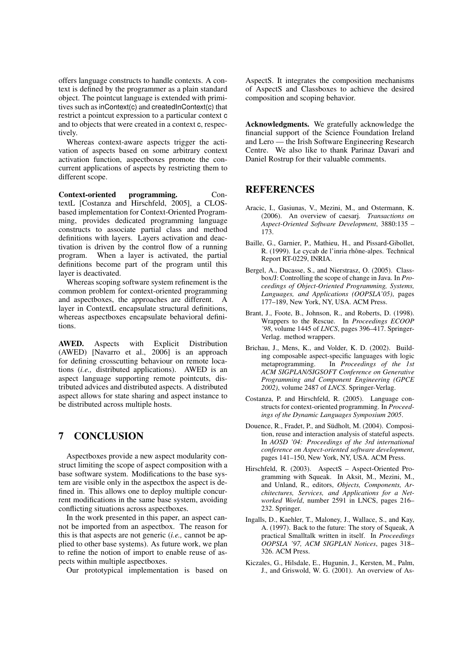offers language constructs to handle contexts. A context is defined by the programmer as a plain standard object. The pointcut language is extended with primitives such as inContext(c) and createdInContext(c) that restrict a pointcut expression to a particular context c and to objects that were created in a context c, respectively.

Whereas context-aware aspects trigger the activation of aspects based on some arbitrary context activation function, aspectboxes promote the concurrent applications of aspects by restricting them to different scope.

Context-oriented programming. ContextL [Costanza and Hirschfeld, 2005], a CLOSbased implementation for Context-Oriented Programming, provides dedicated programming language constructs to associate partial class and method definitions with layers. Layers activation and deactivation is driven by the control flow of a running program. When a layer is activated, the partial definitions become part of the program until this layer is deactivated.

Whereas scoping software system refinement is the common problem for context-oriented programming and aspectboxes, the approaches are different. A layer in ContextL encapsulate structural definitions, whereas aspectboxes encapsulate behavioral definitions.

AWED. Aspects with Explicit Distribution (AWED) [Navarro et al., 2006] is an approach for defining crosscutting behaviour on remote locations (*i.e.,* distributed applications). AWED is an aspect language supporting remote pointcuts, distributed advices and distributed aspects. A distributed aspect allows for state sharing and aspect instance to be distributed across multiple hosts.

# <span id="page-5-0"></span>7 CONCLUSION

Aspectboxes provide a new aspect modularity construct limiting the scope of aspect composition with a base software system. Modifications to the base system are visible only in the aspectbox the aspect is defined in. This allows one to deploy multiple concurrent modifications in the same base system, avoiding conflicting situations across aspectboxes.

In the work presented in this paper, an aspect cannot be imported from an aspectbox. The reason for this is that aspects are not generic (*i.e.,* cannot be applied to other base systems). As future work, we plan to refine the notion of import to enable reuse of aspects within multiple aspectboxes.

Our prototypical implementation is based on

AspectS. It integrates the composition mechanisms of AspectS and Classboxes to achieve the desired composition and scoping behavior.

Acknowledgments. We gratefully acknowledge the financial support of the Science Foundation Ireland and Lero — the Irish Software Engineering Research Centre. We also like to thank Parinaz Davari and Daniel Rostrup for their valuable comments.

#### REFERENCES

- Aracic, I., Gasiunas, V., Mezini, M., and Ostermann, K. (2006). An overview of caesarj. *Transactions on Aspect-Oriented Software Development*, 3880:135 – 173.
- Baille, G., Garnier, P., Mathieu, H., and Pissard-Gibollet, R. (1999). Le cycab de l'inria rhône-alpes. Technical Report RT-0229, INRIA.
- Bergel, A., Ducasse, S., and Nierstrasz, O. (2005). Classbox/J: Controlling the scope of change in Java. In *Proceedings of Object-Oriented Programming, Systems, Languages, and Applications (OOPSLA'05)*, pages 177–189, New York, NY, USA. ACM Press.
- Brant, J., Foote, B., Johnson, R., and Roberts, D. (1998). Wrappers to the Rescue. In *Proceedings ECOOP '98*, volume 1445 of *LNCS*, pages 396–417. Springer-Verlag. method wrappers.
- Brichau, J., Mens, K., and Volder, K. D. (2002). Building composable aspect-specific languages with logic metaprogramming. In *Proceedings of the 1st ACM SIGPLAN/SIGSOFT Conference on Generative Programming and Component Engineering (GPCE 2002)*, volume 2487 of *LNCS*. Springer-Verlag.
- Costanza, P. and Hirschfeld, R. (2005). Language constructs for context-oriented programming. In *Proceedings of the Dynamic Languages Symposium 2005*.
- Douence, R., Fradet, P., and Südholt, M. (2004). Composition, reuse and interaction analysis of stateful aspects. In *AOSD '04: Proceedings of the 3rd international conference on Aspect-oriented software development*, pages 141–150, New York, NY, USA. ACM Press.
- Hirschfeld, R. (2003). AspectS Aspect-Oriented Programming with Squeak. In Aksit, M., Mezini, M., and Unland, R., editors, *Objects, Components, Architectures, Services, and Applications for a Networked World*, number 2591 in LNCS, pages 216– 232. Springer.
- Ingalls, D., Kaehler, T., Maloney, J., Wallace, S., and Kay, A. (1997). Back to the future: The story of Squeak, A practical Smalltalk written in itself. In *Proceedings OOPSLA '97, ACM SIGPLAN Notices*, pages 318– 326. ACM Press.
- Kiczales, G., Hilsdale, E., Hugunin, J., Kersten, M., Palm, J., and Griswold, W. G. (2001). An overview of As-